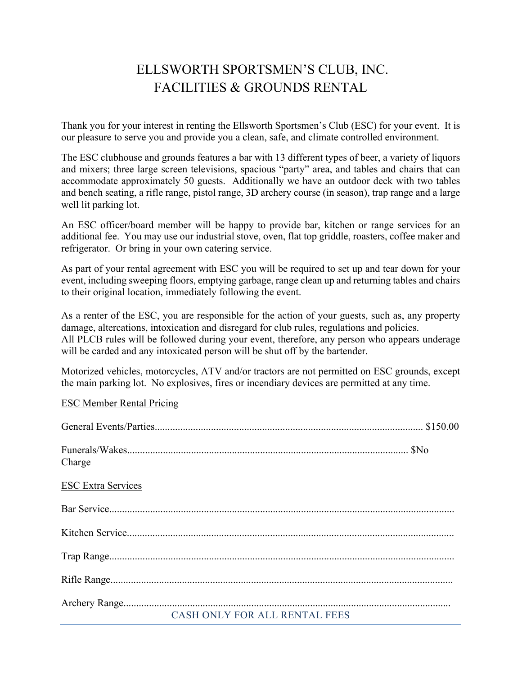## ELLSWORTH SPORTSMEN'S CLUB, INC. FACILITIES & GROUNDS RENTAL

Thank you for your interest in renting the Ellsworth Sportsmen's Club (ESC) for your event. It is our pleasure to serve you and provide you a clean, safe, and climate controlled environment.

The ESC clubhouse and grounds features a bar with 13 different types of beer, a variety of liquors and mixers; three large screen televisions, spacious "party" area, and tables and chairs that can accommodate approximately 50 guests. Additionally we have an outdoor deck with two tables and bench seating, a rifle range, pistol range, 3D archery course (in season), trap range and a large well lit parking lot.

An ESC officer/board member will be happy to provide bar, kitchen or range services for an additional fee. You may use our industrial stove, oven, flat top griddle, roasters, coffee maker and refrigerator. Or bring in your own catering service.

As part of your rental agreement with ESC you will be required to set up and tear down for your event, including sweeping floors, emptying garbage, range clean up and returning tables and chairs to their original location, immediately following the event.

As a renter of the ESC, you are responsible for the action of your guests, such as, any property damage, altercations, intoxication and disregard for club rules, regulations and policies. All PLCB rules will be followed during your event, therefore, any person who appears underage will be carded and any intoxicated person will be shut off by the bartender.

Motorized vehicles, motorcycles, ATV and/or tractors are not permitted on ESC grounds, except the main parking lot. No explosives, fires or incendiary devices are permitted at any time.

## ESC Member Rental Pricing

| Charge                        |  |
|-------------------------------|--|
| <b>ESC Extra Services</b>     |  |
|                               |  |
|                               |  |
|                               |  |
|                               |  |
| CASH ONLY FOR ALL RENTAL FEES |  |